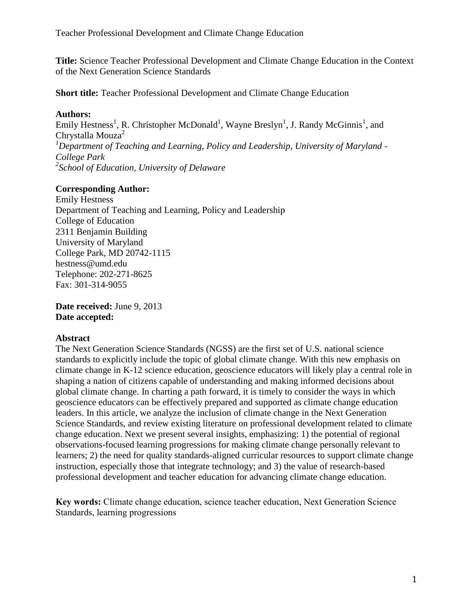**Title:** Science Teacher Professional Development and Climate Change Education in the Context of the Next Generation Science Standards

**Short title:** Teacher Professional Development and Climate Change Education

### **Authors:**

Emily Hestness<sup>1</sup>, R. Christopher McDonald<sup>1</sup>, Wayne Breslyn<sup>1</sup>, J. Randy McGinnis<sup>1</sup>, and Chrystalla Mouza<sup>2</sup> *<sup>1</sup>Department of Teaching and Learning, Policy and Leadership, University of Maryland - College Park 2 School of Education, University of Delaware*

## **Corresponding Author:**

Emily Hestness Department of Teaching and Learning, Policy and Leadership College of Education 2311 Benjamin Building University of Maryland College Park, MD 20742-1115 hestness@umd.edu Telephone: 202-271-8625 Fax: 301-314-9055

**Date received:** June 9, 2013 **Date accepted:**

## **Abstract**

The Next Generation Science Standards (NGSS) are the first set of U.S. national science standards to explicitly include the topic of global climate change. With this new emphasis on climate change in K-12 science education, geoscience educators will likely play a central role in shaping a nation of citizens capable of understanding and making informed decisions about global climate change. In charting a path forward, it is timely to consider the ways in which geoscience educators can be effectively prepared and supported as climate change education leaders. In this article, we analyze the inclusion of climate change in the Next Generation Science Standards, and review existing literature on professional development related to climate change education. Next we present several insights, emphasizing: 1) the potential of regional observations-focused learning progressions for making climate change personally relevant to learners; 2) the need for quality standards-aligned curricular resources to support climate change instruction, especially those that integrate technology; and 3) the value of research-based professional development and teacher education for advancing climate change education.

**Key words:** Climate change education, science teacher education, Next Generation Science Standards, learning progressions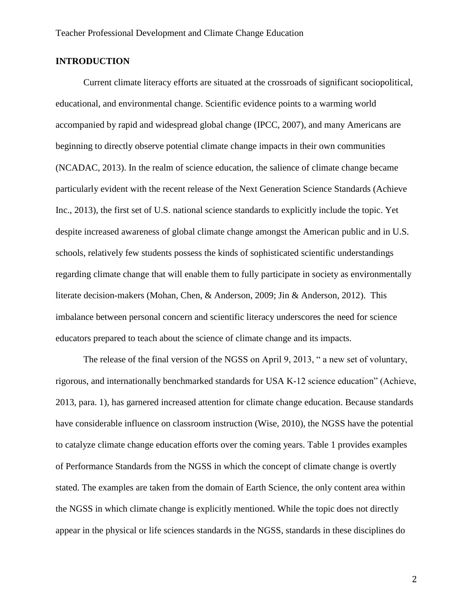### **INTRODUCTION**

Current climate literacy efforts are situated at the crossroads of significant sociopolitical, educational, and environmental change. Scientific evidence points to a warming world accompanied by rapid and widespread global change (IPCC, 2007), and many Americans are beginning to directly observe potential climate change impacts in their own communities (NCADAC, 2013). In the realm of science education, the salience of climate change became particularly evident with the recent release of the Next Generation Science Standards (Achieve Inc., 2013), the first set of U.S. national science standards to explicitly include the topic. Yet despite increased awareness of global climate change amongst the American public and in U.S. schools, relatively few students possess the kinds of sophisticated scientific understandings regarding climate change that will enable them to fully participate in society as environmentally literate decision-makers (Mohan, Chen, & Anderson, 2009; Jin & Anderson, 2012). This imbalance between personal concern and scientific literacy underscores the need for science educators prepared to teach about the science of climate change and its impacts.

The release of the final version of the NGSS on April 9, 2013, " a new set of voluntary, rigorous, and internationally benchmarked standards for USA K-12 science education" (Achieve, 2013, para. 1), has garnered increased attention for climate change education. Because standards have considerable influence on classroom instruction (Wise, 2010), the NGSS have the potential to catalyze climate change education efforts over the coming years. Table 1 provides examples of Performance Standards from the NGSS in which the concept of climate change is overtly stated. The examples are taken from the domain of Earth Science, the only content area within the NGSS in which climate change is explicitly mentioned. While the topic does not directly appear in the physical or life sciences standards in the NGSS, standards in these disciplines do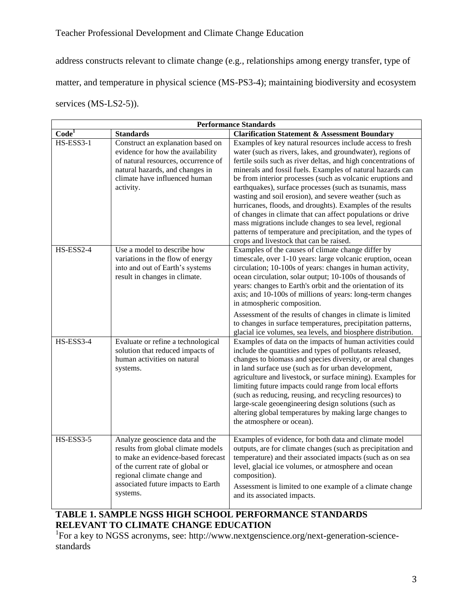address constructs relevant to climate change (e.g., relationships among energy transfer, type of matter, and temperature in physical science (MS-PS3-4); maintaining biodiversity and ecosystem services (MS-LS2-5)).

| <b>Performance Standards</b> |                                                                                                                                                                                                                                  |                                                                                                                                                                                                                                                                                                                                                                                                                                                                                                                                                                                                                                                                                                                                            |  |  |  |
|------------------------------|----------------------------------------------------------------------------------------------------------------------------------------------------------------------------------------------------------------------------------|--------------------------------------------------------------------------------------------------------------------------------------------------------------------------------------------------------------------------------------------------------------------------------------------------------------------------------------------------------------------------------------------------------------------------------------------------------------------------------------------------------------------------------------------------------------------------------------------------------------------------------------------------------------------------------------------------------------------------------------------|--|--|--|
| $\overline{\text{Code}^1}$   | <b>Standards</b>                                                                                                                                                                                                                 | <b>Clarification Statement &amp; Assessment Boundary</b>                                                                                                                                                                                                                                                                                                                                                                                                                                                                                                                                                                                                                                                                                   |  |  |  |
| HS-ESS3-1                    | Construct an explanation based on<br>evidence for how the availability<br>of natural resources, occurrence of<br>natural hazards, and changes in<br>climate have influenced human<br>activity.                                   | Examples of key natural resources include access to fresh<br>water (such as rivers, lakes, and groundwater), regions of<br>fertile soils such as river deltas, and high concentrations of<br>minerals and fossil fuels. Examples of natural hazards can<br>be from interior processes (such as volcanic eruptions and<br>earthquakes), surface processes (such as tsunamis, mass<br>wasting and soil erosion), and severe weather (such as<br>hurricanes, floods, and droughts). Examples of the results<br>of changes in climate that can affect populations or drive<br>mass migrations include changes to sea level, regional<br>patterns of temperature and precipitation, and the types of<br>crops and livestock that can be raised. |  |  |  |
| HS-ESS2-4                    | Use a model to describe how<br>variations in the flow of energy<br>into and out of Earth's systems<br>result in changes in climate.                                                                                              | Examples of the causes of climate change differ by<br>timescale, over 1-10 years: large volcanic eruption, ocean<br>circulation; 10-100s of years: changes in human activity,<br>ocean circulation, solar output; 10-100s of thousands of<br>years: changes to Earth's orbit and the orientation of its<br>axis; and 10-100s of millions of years: long-term changes<br>in atmospheric composition.<br>Assessment of the results of changes in climate is limited<br>to changes in surface temperatures, precipitation patterns,<br>glacial ice volumes, sea levels, and biosphere distribution.                                                                                                                                           |  |  |  |
| HS-ESS3-4                    | Evaluate or refine a technological<br>solution that reduced impacts of<br>human activities on natural<br>systems.                                                                                                                | Examples of data on the impacts of human activities could<br>include the quantities and types of pollutants released,<br>changes to biomass and species diversity, or areal changes<br>in land surface use (such as for urban development,<br>agriculture and livestock, or surface mining). Examples for<br>limiting future impacts could range from local efforts<br>(such as reducing, reusing, and recycling resources) to<br>large-scale geoengineering design solutions (such as<br>altering global temperatures by making large changes to<br>the atmosphere or ocean).                                                                                                                                                             |  |  |  |
| $HS$ -ESS3-5                 | Analyze geoscience data and the<br>results from global climate models<br>to make an evidence-based forecast<br>of the current rate of global or<br>regional climate change and<br>associated future impacts to Earth<br>systems. | Examples of evidence, for both data and climate model<br>outputs, are for climate changes (such as precipitation and<br>temperature) and their associated impacts (such as on sea<br>level, glacial ice volumes, or atmosphere and ocean<br>composition).<br>Assessment is limited to one example of a climate change<br>and its associated impacts.                                                                                                                                                                                                                                                                                                                                                                                       |  |  |  |

# **TABLE 1. SAMPLE NGSS HIGH SCHOOL PERFORMANCE STANDARDS RELEVANT TO CLIMATE CHANGE EDUCATION**

<sup>1</sup>For a key to NGSS acronyms, see: http://www.nextgenscience.org/next-generation-sciencestandards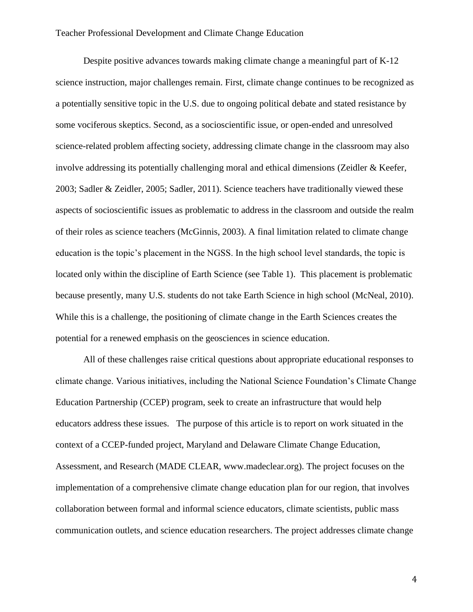Despite positive advances towards making climate change a meaningful part of K-12 science instruction, major challenges remain. First, climate change continues to be recognized as a potentially sensitive topic in the U.S. due to ongoing political debate and stated resistance by some vociferous skeptics. Second, as a socioscientific issue, or open-ended and unresolved science-related problem affecting society, addressing climate change in the classroom may also involve addressing its potentially challenging moral and ethical dimensions (Zeidler & Keefer, 2003; Sadler & Zeidler, 2005; Sadler, 2011). Science teachers have traditionally viewed these aspects of socioscientific issues as problematic to address in the classroom and outside the realm of their roles as science teachers (McGinnis, 2003). A final limitation related to climate change education is the topic's placement in the NGSS. In the high school level standards, the topic is located only within the discipline of Earth Science (see Table 1). This placement is problematic because presently, many U.S. students do not take Earth Science in high school (McNeal, 2010). While this is a challenge, the positioning of climate change in the Earth Sciences creates the potential for a renewed emphasis on the geosciences in science education.

All of these challenges raise critical questions about appropriate educational responses to climate change. Various initiatives, including the National Science Foundation's Climate Change Education Partnership (CCEP) program, seek to create an infrastructure that would help educators address these issues. The purpose of this article is to report on work situated in the context of a CCEP-funded project, Maryland and Delaware Climate Change Education, Assessment, and Research (MADE CLEAR, www.madeclear.org). The project focuses on the implementation of a comprehensive climate change education plan for our region, that involves collaboration between formal and informal science educators, climate scientists, public mass communication outlets, and science education researchers. The project addresses climate change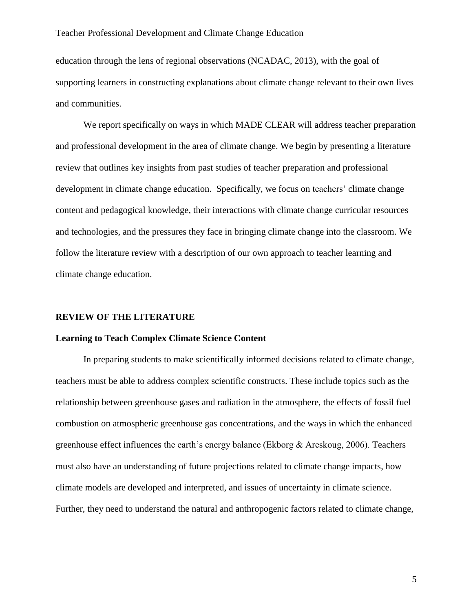education through the lens of regional observations (NCADAC, 2013), with the goal of supporting learners in constructing explanations about climate change relevant to their own lives and communities.

We report specifically on ways in which MADE CLEAR will address teacher preparation and professional development in the area of climate change. We begin by presenting a literature review that outlines key insights from past studies of teacher preparation and professional development in climate change education. Specifically, we focus on teachers' climate change content and pedagogical knowledge, their interactions with climate change curricular resources and technologies, and the pressures they face in bringing climate change into the classroom. We follow the literature review with a description of our own approach to teacher learning and climate change education.

#### **REVIEW OF THE LITERATURE**

#### **Learning to Teach Complex Climate Science Content**

In preparing students to make scientifically informed decisions related to climate change, teachers must be able to address complex scientific constructs. These include topics such as the relationship between greenhouse gases and radiation in the atmosphere, the effects of fossil fuel combustion on atmospheric greenhouse gas concentrations, and the ways in which the enhanced greenhouse effect influences the earth's energy balance (Ekborg & Areskoug, 2006). Teachers must also have an understanding of future projections related to climate change impacts, how climate models are developed and interpreted, and issues of uncertainty in climate science. Further, they need to understand the natural and anthropogenic factors related to climate change,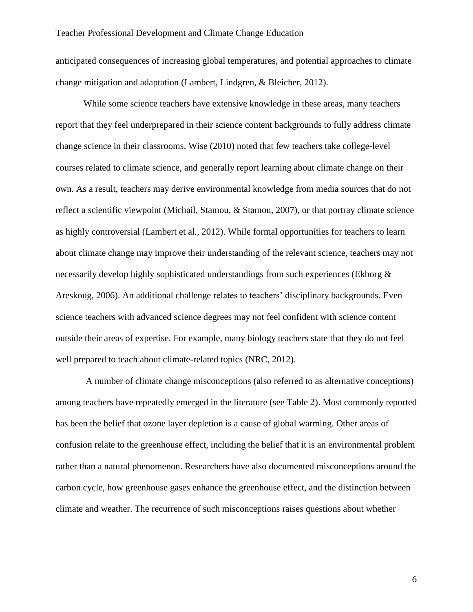anticipated consequences of increasing global temperatures, and potential approaches to climate change mitigation and adaptation (Lambert, Lindgren, & Bleicher, 2012).

While some science teachers have extensive knowledge in these areas, many teachers report that they feel underprepared in their science content backgrounds to fully address climate change science in their classrooms. Wise (2010) noted that few teachers take college-level courses related to climate science, and generally report learning about climate change on their own. As a result, teachers may derive environmental knowledge from media sources that do not reflect a scientific viewpoint (Michail, Stamou, & Stamou, 2007), or that portray climate science as highly controversial (Lambert et al., 2012). While formal opportunities for teachers to learn about climate change may improve their understanding of the relevant science, teachers may not necessarily develop highly sophisticated understandings from such experiences (Ekborg & Areskoug, 2006). An additional challenge relates to teachers' disciplinary backgrounds. Even science teachers with advanced science degrees may not feel confident with science content outside their areas of expertise. For example, many biology teachers state that they do not feel well prepared to teach about climate-related topics (NRC, 2012).

A number of climate change misconceptions (also referred to as alternative conceptions) among teachers have repeatedly emerged in the literature (see Table 2). Most commonly reported has been the belief that ozone layer depletion is a cause of global warming. Other areas of confusion relate to the greenhouse effect, including the belief that it is an environmental problem rather than a natural phenomenon. Researchers have also documented misconceptions around the carbon cycle, how greenhouse gases enhance the greenhouse effect, and the distinction between climate and weather. The recurrence of such misconceptions raises questions about whether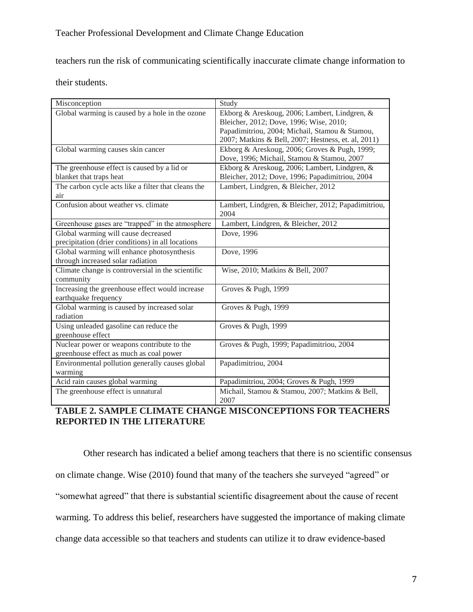teachers run the risk of communicating scientifically inaccurate climate change information to

their students.

| Misconception                                       | Study                                                   |
|-----------------------------------------------------|---------------------------------------------------------|
| Global warming is caused by a hole in the ozone     | Ekborg & Areskoug, 2006; Lambert, Lindgren, &           |
|                                                     | Bleicher, 2012; Dove, 1996; Wise, 2010;                 |
|                                                     | Papadimitriou, 2004; Michail, Stamou & Stamou,          |
|                                                     | 2007; Matkins & Bell, 2007; Hestness, et. al, 2011)     |
| Global warming causes skin cancer                   | Ekborg & Areskoug, 2006; Groves & Pugh, 1999;           |
|                                                     | Dove, 1996; Michail, Stamou & Stamou, 2007              |
| The greenhouse effect is caused by a lid or         | Ekborg & Areskoug, 2006; Lambert, Lindgren, &           |
| blanket that traps heat                             | Bleicher, 2012; Dove, 1996; Papadimitriou, 2004         |
| The carbon cycle acts like a filter that cleans the | Lambert, Lindgren, & Bleicher, 2012                     |
| air                                                 |                                                         |
| Confusion about weather vs. climate                 | Lambert, Lindgren, & Bleicher, 2012; Papadimitriou,     |
|                                                     | 2004                                                    |
| Greenhouse gases are "trapped" in the atmosphere    | Lambert, Lindgren, & Bleicher, 2012                     |
| Global warming will cause decreased                 | Dove, 1996                                              |
| precipitation (drier conditions) in all locations   |                                                         |
| Global warming will enhance photosynthesis          | Dove, 1996                                              |
| through increased solar radiation                   |                                                         |
| Climate change is controversial in the scientific   | Wise, 2010; Matkins & Bell, 2007                        |
| community                                           |                                                         |
| Increasing the greenhouse effect would increase     | Groves & Pugh, 1999                                     |
| earthquake frequency                                |                                                         |
| Global warming is caused by increased solar         | Groves & Pugh, 1999                                     |
| radiation                                           |                                                         |
| Using unleaded gasoline can reduce the              | Groves & Pugh, 1999                                     |
| greenhouse effect                                   |                                                         |
| Nuclear power or weapons contribute to the          | Groves & Pugh, 1999; Papadimitriou, 2004                |
| greenhouse effect as much as coal power             |                                                         |
| Environmental pollution generally causes global     | Papadimitriou, 2004                                     |
| warming                                             |                                                         |
| Acid rain causes global warming                     | Papadimitriou, 2004; Groves & Pugh, 1999                |
| The greenhouse effect is unnatural                  | Michail, Stamou & Stamou, 2007; Matkins & Bell,<br>2007 |

### **TABLE 2. SAMPLE CLIMATE CHANGE MISCONCEPTIONS FOR TEACHERS REPORTED IN THE LITERATURE**

Other research has indicated a belief among teachers that there is no scientific consensus on climate change. Wise (2010) found that many of the teachers she surveyed "agreed" or "somewhat agreed" that there is substantial scientific disagreement about the cause of recent warming. To address this belief, researchers have suggested the importance of making climate change data accessible so that teachers and students can utilize it to draw evidence-based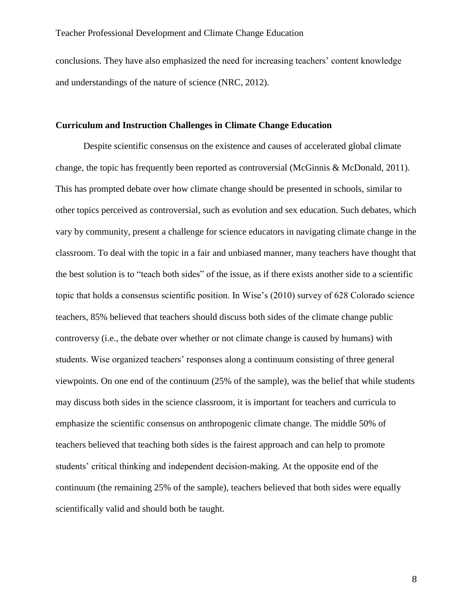conclusions. They have also emphasized the need for increasing teachers' content knowledge and understandings of the nature of science (NRC, 2012).

#### **Curriculum and Instruction Challenges in Climate Change Education**

Despite scientific consensus on the existence and causes of accelerated global climate change, the topic has frequently been reported as controversial (McGinnis & McDonald, 2011). This has prompted debate over how climate change should be presented in schools, similar to other topics perceived as controversial, such as evolution and sex education. Such debates, which vary by community, present a challenge for science educators in navigating climate change in the classroom. To deal with the topic in a fair and unbiased manner, many teachers have thought that the best solution is to "teach both sides" of the issue, as if there exists another side to a scientific topic that holds a consensus scientific position. In Wise's (2010) survey of 628 Colorado science teachers, 85% believed that teachers should discuss both sides of the climate change public controversy (i.e., the debate over whether or not climate change is caused by humans) with students. Wise organized teachers' responses along a continuum consisting of three general viewpoints. On one end of the continuum (25% of the sample), was the belief that while students may discuss both sides in the science classroom, it is important for teachers and curricula to emphasize the scientific consensus on anthropogenic climate change. The middle 50% of teachers believed that teaching both sides is the fairest approach and can help to promote students' critical thinking and independent decision-making. At the opposite end of the continuum (the remaining 25% of the sample), teachers believed that both sides were equally scientifically valid and should both be taught.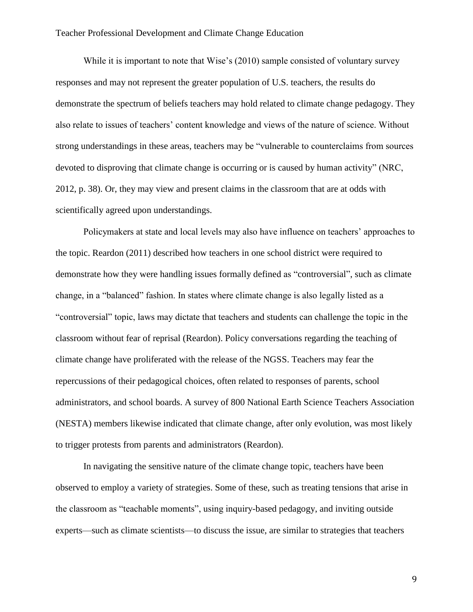While it is important to note that Wise's (2010) sample consisted of voluntary survey responses and may not represent the greater population of U.S. teachers, the results do demonstrate the spectrum of beliefs teachers may hold related to climate change pedagogy. They also relate to issues of teachers' content knowledge and views of the nature of science. Without strong understandings in these areas, teachers may be "vulnerable to counterclaims from sources devoted to disproving that climate change is occurring or is caused by human activity" (NRC, 2012, p. 38). Or, they may view and present claims in the classroom that are at odds with scientifically agreed upon understandings.

Policymakers at state and local levels may also have influence on teachers' approaches to the topic. Reardon (2011) described how teachers in one school district were required to demonstrate how they were handling issues formally defined as "controversial", such as climate change, in a "balanced" fashion. In states where climate change is also legally listed as a "controversial" topic, laws may dictate that teachers and students can challenge the topic in the classroom without fear of reprisal (Reardon). Policy conversations regarding the teaching of climate change have proliferated with the release of the NGSS. Teachers may fear the repercussions of their pedagogical choices, often related to responses of parents, school administrators, and school boards. A survey of 800 National Earth Science Teachers Association (NESTA) members likewise indicated that climate change, after only evolution, was most likely to trigger protests from parents and administrators (Reardon).

In navigating the sensitive nature of the climate change topic, teachers have been observed to employ a variety of strategies. Some of these, such as treating tensions that arise in the classroom as "teachable moments", using inquiry-based pedagogy, and inviting outside experts—such as climate scientists—to discuss the issue, are similar to strategies that teachers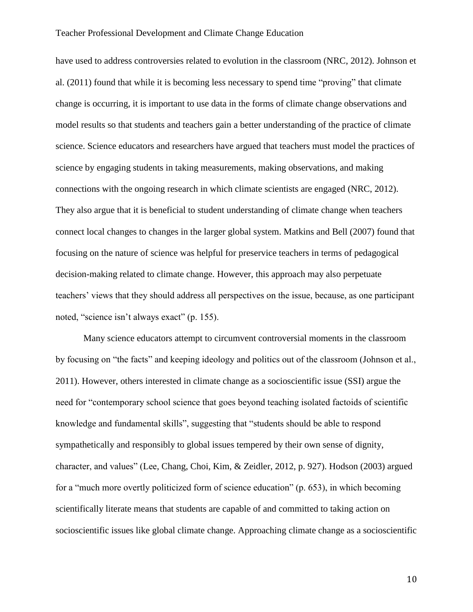have used to address controversies related to evolution in the classroom (NRC, 2012). Johnson et al. (2011) found that while it is becoming less necessary to spend time "proving" that climate change is occurring, it is important to use data in the forms of climate change observations and model results so that students and teachers gain a better understanding of the practice of climate science. Science educators and researchers have argued that teachers must model the practices of science by engaging students in taking measurements, making observations, and making connections with the ongoing research in which climate scientists are engaged (NRC, 2012). They also argue that it is beneficial to student understanding of climate change when teachers connect local changes to changes in the larger global system. Matkins and Bell (2007) found that focusing on the nature of science was helpful for preservice teachers in terms of pedagogical decision-making related to climate change. However, this approach may also perpetuate teachers' views that they should address all perspectives on the issue, because, as one participant noted, "science isn't always exact" (p. 155).

Many science educators attempt to circumvent controversial moments in the classroom by focusing on "the facts" and keeping ideology and politics out of the classroom (Johnson et al., 2011). However, others interested in climate change as a socioscientific issue (SSI) argue the need for "contemporary school science that goes beyond teaching isolated factoids of scientific knowledge and fundamental skills", suggesting that "students should be able to respond sympathetically and responsibly to global issues tempered by their own sense of dignity, character, and values" (Lee, Chang, Choi, Kim, & Zeidler, 2012, p. 927). Hodson (2003) argued for a "much more overtly politicized form of science education" (p. 653), in which becoming scientifically literate means that students are capable of and committed to taking action on socioscientific issues like global climate change. Approaching climate change as a socioscientific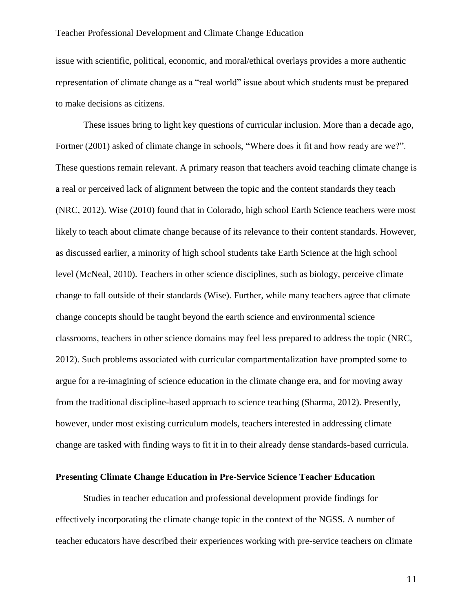issue with scientific, political, economic, and moral/ethical overlays provides a more authentic representation of climate change as a "real world" issue about which students must be prepared to make decisions as citizens.

These issues bring to light key questions of curricular inclusion. More than a decade ago, Fortner (2001) asked of climate change in schools, "Where does it fit and how ready are we?". These questions remain relevant. A primary reason that teachers avoid teaching climate change is a real or perceived lack of alignment between the topic and the content standards they teach (NRC, 2012). Wise (2010) found that in Colorado, high school Earth Science teachers were most likely to teach about climate change because of its relevance to their content standards. However, as discussed earlier, a minority of high school students take Earth Science at the high school level (McNeal, 2010). Teachers in other science disciplines, such as biology, perceive climate change to fall outside of their standards (Wise). Further, while many teachers agree that climate change concepts should be taught beyond the earth science and environmental science classrooms, teachers in other science domains may feel less prepared to address the topic (NRC, 2012). Such problems associated with curricular compartmentalization have prompted some to argue for a re-imagining of science education in the climate change era, and for moving away from the traditional discipline-based approach to science teaching (Sharma, 2012). Presently, however, under most existing curriculum models, teachers interested in addressing climate change are tasked with finding ways to fit it in to their already dense standards-based curricula.

### **Presenting Climate Change Education in Pre-Service Science Teacher Education**

Studies in teacher education and professional development provide findings for effectively incorporating the climate change topic in the context of the NGSS. A number of teacher educators have described their experiences working with pre-service teachers on climate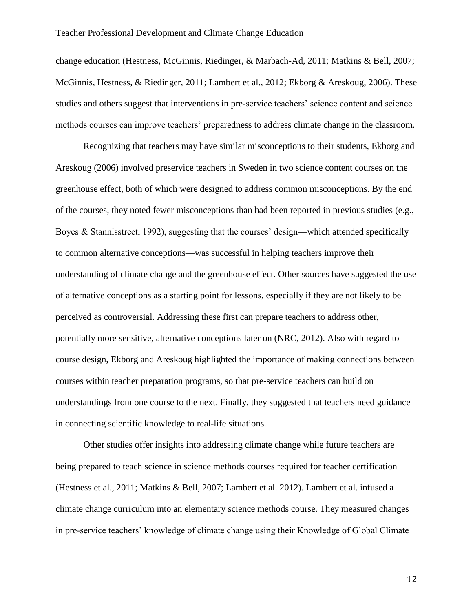change education (Hestness, McGinnis, Riedinger, & Marbach-Ad, 2011; Matkins & Bell, 2007; McGinnis, Hestness, & Riedinger, 2011; Lambert et al., 2012; Ekborg & Areskoug, 2006). These studies and others suggest that interventions in pre-service teachers' science content and science methods courses can improve teachers' preparedness to address climate change in the classroom.

Recognizing that teachers may have similar misconceptions to their students, Ekborg and Areskoug (2006) involved preservice teachers in Sweden in two science content courses on the greenhouse effect, both of which were designed to address common misconceptions. By the end of the courses, they noted fewer misconceptions than had been reported in previous studies (e.g., Boyes & Stannisstreet, 1992), suggesting that the courses' design—which attended specifically to common alternative conceptions—was successful in helping teachers improve their understanding of climate change and the greenhouse effect. Other sources have suggested the use of alternative conceptions as a starting point for lessons, especially if they are not likely to be perceived as controversial. Addressing these first can prepare teachers to address other, potentially more sensitive, alternative conceptions later on (NRC, 2012). Also with regard to course design, Ekborg and Areskoug highlighted the importance of making connections between courses within teacher preparation programs, so that pre-service teachers can build on understandings from one course to the next. Finally, they suggested that teachers need guidance in connecting scientific knowledge to real-life situations.

Other studies offer insights into addressing climate change while future teachers are being prepared to teach science in science methods courses required for teacher certification (Hestness et al., 2011; Matkins & Bell, 2007; Lambert et al. 2012). Lambert et al. infused a climate change curriculum into an elementary science methods course. They measured changes in pre-service teachers' knowledge of climate change using their Knowledge of Global Climate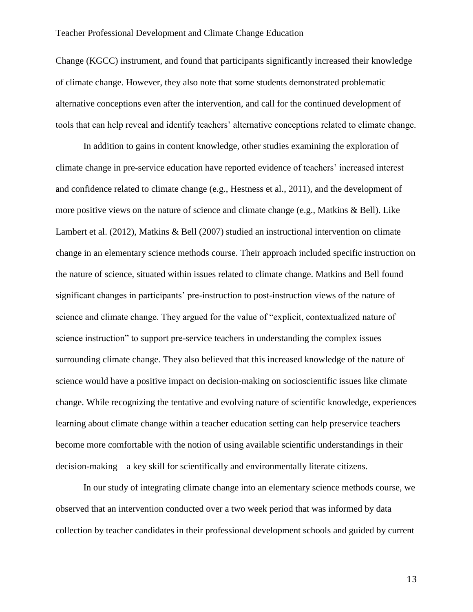Change (KGCC) instrument, and found that participants significantly increased their knowledge of climate change. However, they also note that some students demonstrated problematic alternative conceptions even after the intervention, and call for the continued development of tools that can help reveal and identify teachers' alternative conceptions related to climate change.

In addition to gains in content knowledge, other studies examining the exploration of climate change in pre-service education have reported evidence of teachers' increased interest and confidence related to climate change (e.g., Hestness et al., 2011), and the development of more positive views on the nature of science and climate change (e.g., Matkins & Bell). Like Lambert et al. (2012), Matkins & Bell (2007) studied an instructional intervention on climate change in an elementary science methods course. Their approach included specific instruction on the nature of science, situated within issues related to climate change. Matkins and Bell found significant changes in participants' pre-instruction to post-instruction views of the nature of science and climate change. They argued for the value of "explicit, contextualized nature of science instruction" to support pre-service teachers in understanding the complex issues surrounding climate change. They also believed that this increased knowledge of the nature of science would have a positive impact on decision-making on socioscientific issues like climate change. While recognizing the tentative and evolving nature of scientific knowledge, experiences learning about climate change within a teacher education setting can help preservice teachers become more comfortable with the notion of using available scientific understandings in their decision-making—a key skill for scientifically and environmentally literate citizens.

In our study of integrating climate change into an elementary science methods course, we observed that an intervention conducted over a two week period that was informed by data collection by teacher candidates in their professional development schools and guided by current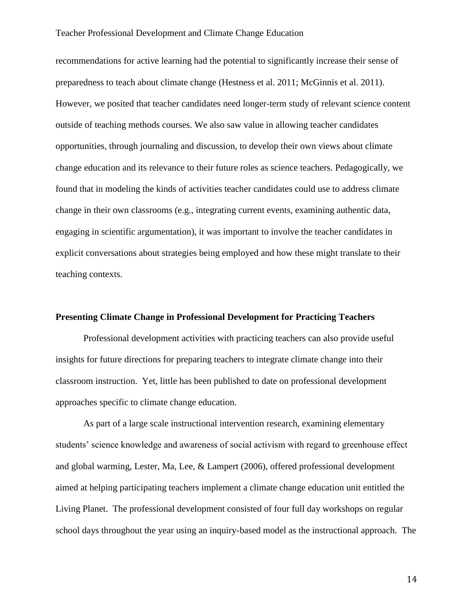recommendations for active learning had the potential to significantly increase their sense of preparedness to teach about climate change (Hestness et al. 2011; McGinnis et al. 2011). However, we posited that teacher candidates need longer-term study of relevant science content outside of teaching methods courses. We also saw value in allowing teacher candidates opportunities, through journaling and discussion, to develop their own views about climate change education and its relevance to their future roles as science teachers. Pedagogically, we found that in modeling the kinds of activities teacher candidates could use to address climate change in their own classrooms (e.g., integrating current events, examining authentic data, engaging in scientific argumentation), it was important to involve the teacher candidates in explicit conversations about strategies being employed and how these might translate to their teaching contexts.

### **Presenting Climate Change in Professional Development for Practicing Teachers**

Professional development activities with practicing teachers can also provide useful insights for future directions for preparing teachers to integrate climate change into their classroom instruction. Yet, little has been published to date on professional development approaches specific to climate change education.

As part of a large scale instructional intervention research, examining elementary students' science knowledge and awareness of social activism with regard to greenhouse effect and global warming, Lester, Ma, Lee, & Lampert (2006), offered professional development aimed at helping participating teachers implement a climate change education unit entitled the Living Planet. The professional development consisted of four full day workshops on regular school days throughout the year using an inquiry-based model as the instructional approach. The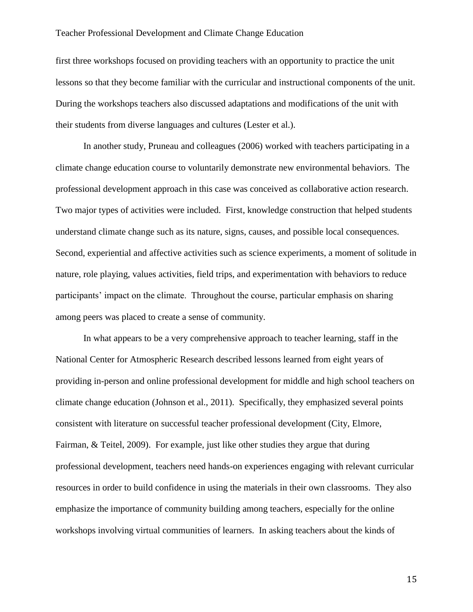first three workshops focused on providing teachers with an opportunity to practice the unit lessons so that they become familiar with the curricular and instructional components of the unit. During the workshops teachers also discussed adaptations and modifications of the unit with their students from diverse languages and cultures (Lester et al.).

In another study, Pruneau and colleagues (2006) worked with teachers participating in a climate change education course to voluntarily demonstrate new environmental behaviors. The professional development approach in this case was conceived as collaborative action research. Two major types of activities were included. First, knowledge construction that helped students understand climate change such as its nature, signs, causes, and possible local consequences. Second, experiential and affective activities such as science experiments, a moment of solitude in nature, role playing, values activities, field trips, and experimentation with behaviors to reduce participants' impact on the climate. Throughout the course, particular emphasis on sharing among peers was placed to create a sense of community.

In what appears to be a very comprehensive approach to teacher learning, staff in the National Center for Atmospheric Research described lessons learned from eight years of providing in-person and online professional development for middle and high school teachers on climate change education (Johnson et al., 2011). Specifically, they emphasized several points consistent with literature on successful teacher professional development (City, Elmore, Fairman, & Teitel, 2009). For example, just like other studies they argue that during professional development, teachers need hands-on experiences engaging with relevant curricular resources in order to build confidence in using the materials in their own classrooms. They also emphasize the importance of community building among teachers, especially for the online workshops involving virtual communities of learners. In asking teachers about the kinds of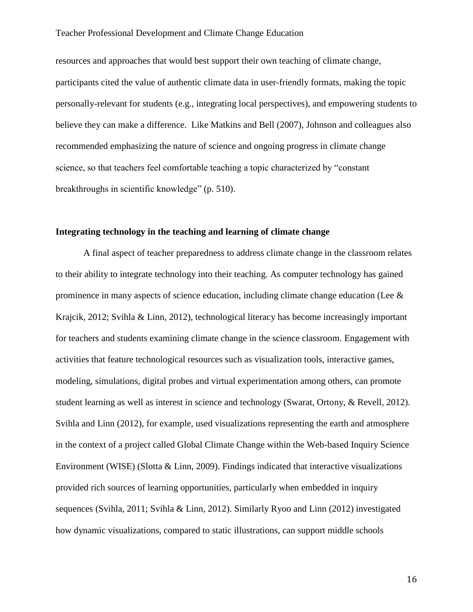resources and approaches that would best support their own teaching of climate change, participants cited the value of authentic climate data in user-friendly formats, making the topic personally-relevant for students (e.g., integrating local perspectives), and empowering students to believe they can make a difference. Like Matkins and Bell (2007), Johnson and colleagues also recommended emphasizing the nature of science and ongoing progress in climate change science, so that teachers feel comfortable teaching a topic characterized by "constant breakthroughs in scientific knowledge" (p. 510).

### **Integrating technology in the teaching and learning of climate change**

A final aspect of teacher preparedness to address climate change in the classroom relates to their ability to integrate technology into their teaching. As computer technology has gained prominence in many aspects of science education, including climate change education (Lee & Krajcik, 2012; Svihla & Linn, 2012), technological literacy has become increasingly important for teachers and students examining climate change in the science classroom. Engagement with activities that feature technological resources such as visualization tools, interactive games, modeling, simulations, digital probes and virtual experimentation among others, can promote student learning as well as interest in science and technology (Swarat, Ortony, & Revell, 2012). Svihla and Linn (2012), for example, used visualizations representing the earth and atmosphere in the context of a project called Global Climate Change within the Web-based Inquiry Science Environment (WISE) (Slotta  $& Linn, 2009$ ). Findings indicated that interactive visualizations provided rich sources of learning opportunities, particularly when embedded in inquiry sequences (Svihla, 2011; Svihla & Linn, 2012). Similarly Ryoo and Linn (2012) investigated how dynamic visualizations, compared to static illustrations, can support middle schools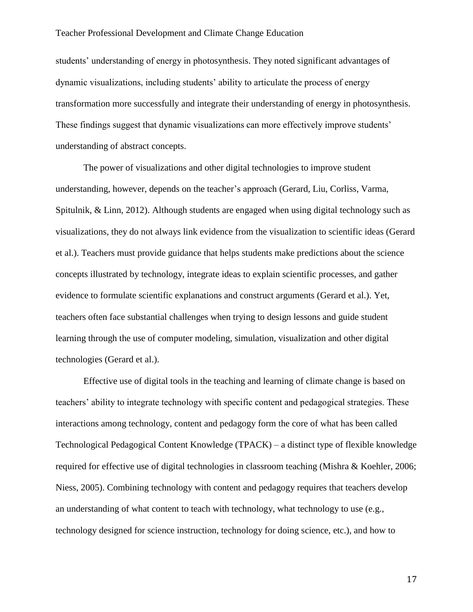students' understanding of energy in photosynthesis. They noted significant advantages of dynamic visualizations, including students' ability to articulate the process of energy transformation more successfully and integrate their understanding of energy in photosynthesis. These findings suggest that dynamic visualizations can more effectively improve students' understanding of abstract concepts.

The power of visualizations and other digital technologies to improve student understanding, however, depends on the teacher's approach (Gerard, Liu, Corliss, Varma, Spitulnik, & Linn, 2012). Although students are engaged when using digital technology such as visualizations, they do not always link evidence from the visualization to scientific ideas (Gerard et al.). Teachers must provide guidance that helps students make predictions about the science concepts illustrated by technology, integrate ideas to explain scientific processes, and gather evidence to formulate scientific explanations and construct arguments (Gerard et al.). Yet, teachers often face substantial challenges when trying to design lessons and guide student learning through the use of computer modeling, simulation, visualization and other digital technologies (Gerard et al.).

Effective use of digital tools in the teaching and learning of climate change is based on teachers' ability to integrate technology with specific content and pedagogical strategies. These interactions among technology, content and pedagogy form the core of what has been called Technological Pedagogical Content Knowledge (TPACK) – a distinct type of flexible knowledge required for effective use of digital technologies in classroom teaching (Mishra & Koehler, 2006; Niess, 2005). Combining technology with content and pedagogy requires that teachers develop an understanding of what content to teach with technology, what technology to use (e.g., technology designed for science instruction, technology for doing science, etc.), and how to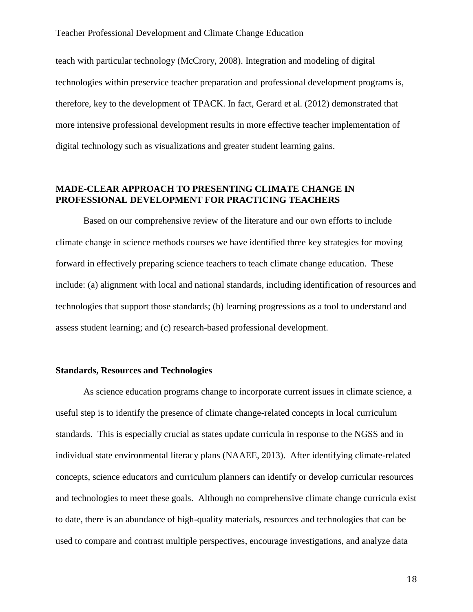teach with particular technology (McCrory, 2008). Integration and modeling of digital technologies within preservice teacher preparation and professional development programs is, therefore, key to the development of TPACK. In fact, Gerard et al. (2012) demonstrated that more intensive professional development results in more effective teacher implementation of digital technology such as visualizations and greater student learning gains.

### **MADE-CLEAR APPROACH TO PRESENTING CLIMATE CHANGE IN PROFESSIONAL DEVELOPMENT FOR PRACTICING TEACHERS**

Based on our comprehensive review of the literature and our own efforts to include climate change in science methods courses we have identified three key strategies for moving forward in effectively preparing science teachers to teach climate change education. These include: (a) alignment with local and national standards, including identification of resources and technologies that support those standards; (b) learning progressions as a tool to understand and assess student learning; and (c) research-based professional development.

### **Standards, Resources and Technologies**

As science education programs change to incorporate current issues in climate science, a useful step is to identify the presence of climate change-related concepts in local curriculum standards. This is especially crucial as states update curricula in response to the NGSS and in individual state environmental literacy plans (NAAEE, 2013). After identifying climate-related concepts, science educators and curriculum planners can identify or develop curricular resources and technologies to meet these goals. Although no comprehensive climate change curricula exist to date, there is an abundance of high-quality materials, resources and technologies that can be used to compare and contrast multiple perspectives, encourage investigations, and analyze data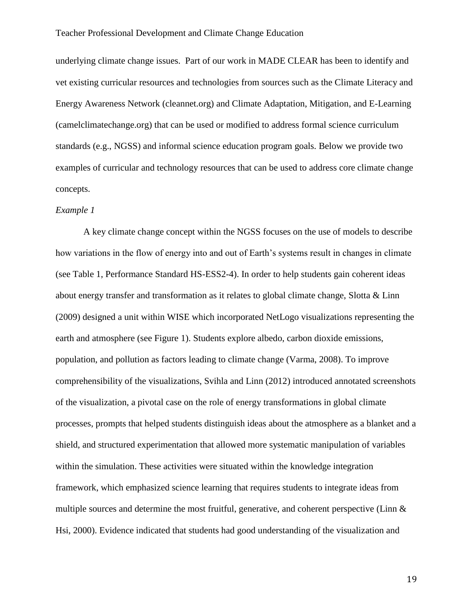underlying climate change issues. Part of our work in MADE CLEAR has been to identify and vet existing curricular resources and technologies from sources such as the Climate Literacy and Energy Awareness Network (cleannet.org) and Climate Adaptation, Mitigation, and E-Learning (camelclimatechange.org) that can be used or modified to address formal science curriculum standards (e.g., NGSS) and informal science education program goals. Below we provide two examples of curricular and technology resources that can be used to address core climate change concepts.

### *Example 1*

A key climate change concept within the NGSS focuses on the use of models to describe how variations in the flow of energy into and out of Earth's systems result in changes in climate (see Table 1, Performance Standard HS-ESS2-4). In order to help students gain coherent ideas about energy transfer and transformation as it relates to global climate change, Slotta & Linn (2009) designed a unit within WISE which incorporated NetLogo visualizations representing the earth and atmosphere (see Figure 1). Students explore albedo, carbon dioxide emissions, population, and pollution as factors leading to climate change (Varma, 2008). To improve comprehensibility of the visualizations, Svihla and Linn (2012) introduced annotated screenshots of the visualization, a pivotal case on the role of energy transformations in global climate processes, prompts that helped students distinguish ideas about the atmosphere as a blanket and a shield, and structured experimentation that allowed more systematic manipulation of variables within the simulation. These activities were situated within the knowledge integration framework, which emphasized science learning that requires students to integrate ideas from multiple sources and determine the most fruitful, generative, and coherent perspective (Linn & Hsi, 2000). Evidence indicated that students had good understanding of the visualization and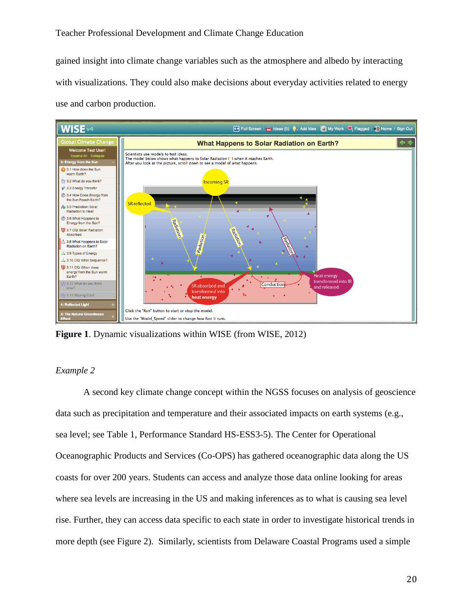gained insight into climate change variables such as the atmosphere and albedo by interacting with visualizations. They could also make decisions about everyday activities related to energy use and carbon production.



**Figure 1**. Dynamic visualizations within WISE (from WISE, 2012)

### *Example 2*

A second key climate change concept within the NGSS focuses on analysis of geoscience data such as precipitation and temperature and their associated impacts on earth systems (e.g., sea level; see Table 1, Performance Standard HS-ESS3-5). The Center for Operational Oceanographic Products and Services (Co-OPS) has gathered oceanographic data along the US coasts for over 200 years. Students can access and analyze those data online looking for areas where sea levels are increasing in the US and making inferences as to what is causing sea level rise. Further, they can access data specific to each state in order to investigate historical trends in more depth (see Figure 2). Similarly, scientists from Delaware Coastal Programs used a simple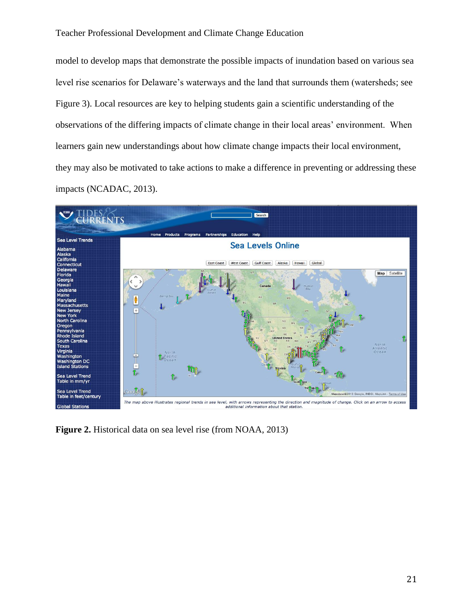model to develop maps that demonstrate the possible impacts of inundation based on various sea level rise scenarios for Delaware's waterways and the land that surrounds them (watersheds; see Figure 3). Local resources are key to helping students gain a scientific understanding of the observations of the differing impacts of climate change in their local areas' environment. When learners gain new understandings about how climate change impacts their local environment, they may also be motivated to take actions to make a difference in preventing or addressing these impacts (NCADAC, 2013).



**Figure 2.** Historical data on sea level rise (from NOAA, 2013)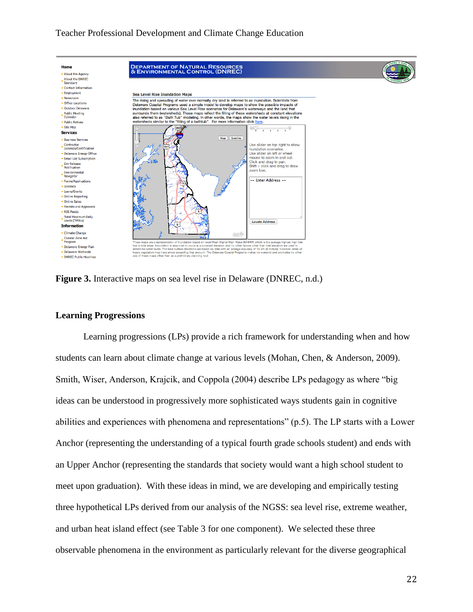

**Figure 3.** Interactive maps on sea level rise in Delaware (DNREC, n.d.)

### **Learning Progressions**

Learning progressions (LPs) provide a rich framework for understanding when and how students can learn about climate change at various levels (Mohan, Chen, & Anderson, 2009). Smith, Wiser, Anderson, Krajcik, and Coppola (2004) describe LPs pedagogy as where "big ideas can be understood in progressively more sophisticated ways students gain in cognitive abilities and experiences with phenomena and representations" (p.5). The LP starts with a Lower Anchor (representing the understanding of a typical fourth grade schools student) and ends with an Upper Anchor (representing the standards that society would want a high school student to meet upon graduation). With these ideas in mind, we are developing and empirically testing three hypothetical LPs derived from our analysis of the NGSS: sea level rise, extreme weather, and urban heat island effect (see Table 3 for one component). We selected these three observable phenomena in the environment as particularly relevant for the diverse geographical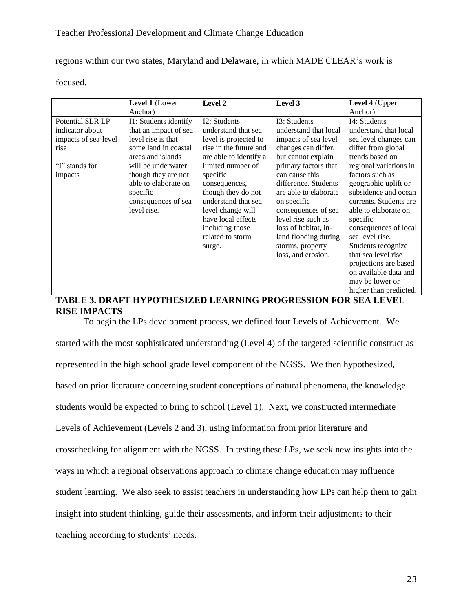regions within our two states, Maryland and Delaware, in which MADE CLEAR's work is

focused.

|                      | Level 1 (Lower        | Level 2                | Level 3               | Level 4 (Upper         |
|----------------------|-----------------------|------------------------|-----------------------|------------------------|
|                      | Anchor)               |                        |                       | Anchor)                |
| Potential SLR LP     | I1: Students identify | I2: Students           | I3: Students          | I4: Students           |
| indicator about      | that an impact of sea | understand that sea    | understand that local | understand that local  |
| impacts of sea-level | level rise is that    | level is projected to  | impacts of sea level  | sea level changes can  |
| rise                 | some land in coastal  | rise in the future and | changes can differ,   | differ from global     |
|                      | areas and islands     | are able to identify a | but cannot explain    | trends based on        |
| "I" stands for       | will be underwater    | limited number of      | primary factors that  | regional variations in |
| impacts              | though they are not   | specific               | can cause this        | factors such as        |
|                      | able to elaborate on  | consequences,          | difference. Students  | geographic uplift or   |
|                      | specific              | though they do not     | are able to elaborate | subsidence and ocean   |
|                      | consequences of sea   | understand that sea    | on specific           | currents. Students are |
|                      | level rise.           | level change will      | consequences of sea   | able to elaborate on   |
|                      |                       | have local effects     | level rise such as    | specific               |
|                      |                       | including those        | loss of habitat, in-  | consequences of local  |
|                      |                       | related to storm       | land flooding during  | sea level rise.        |
|                      |                       | surge.                 | storms, property      | Students recognize     |
|                      |                       |                        | loss, and erosion.    | that sea level rise    |
|                      |                       |                        |                       | projections are based  |
|                      |                       |                        |                       | on available data and  |
|                      |                       |                        |                       | may be lower or        |
|                      |                       |                        |                       | higher than predicted. |

### **TABLE 3. DRAFT HYPOTHESIZED LEARNING PROGRESSION FOR SEA LEVEL RISE IMPACTS**

To begin the LPs development process, we defined four Levels of Achievement. We started with the most sophisticated understanding (Level 4) of the targeted scientific construct as represented in the high school grade level component of the NGSS. We then hypothesized, based on prior literature concerning student conceptions of natural phenomena, the knowledge students would be expected to bring to school (Level 1). Next, we constructed intermediate Levels of Achievement (Levels 2 and 3), using information from prior literature and crosschecking for alignment with the NGSS. In testing these LPs, we seek new insights into the ways in which a regional observations approach to climate change education may influence student learning. We also seek to assist teachers in understanding how LPs can help them to gain insight into student thinking, guide their assessments, and inform their adjustments to their teaching according to students' needs.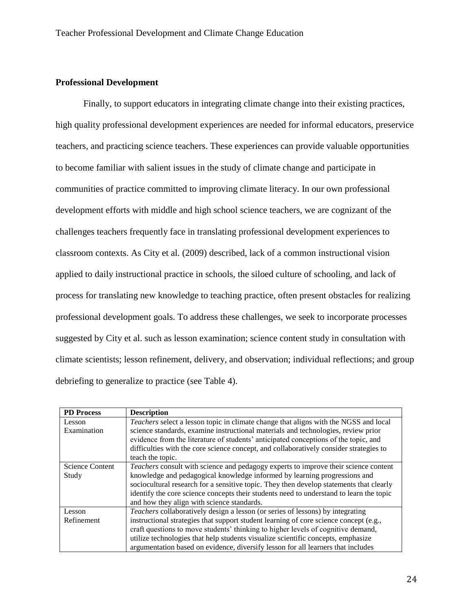### **Professional Development**

Finally, to support educators in integrating climate change into their existing practices, high quality professional development experiences are needed for informal educators, preservice teachers, and practicing science teachers. These experiences can provide valuable opportunities to become familiar with salient issues in the study of climate change and participate in communities of practice committed to improving climate literacy. In our own professional development efforts with middle and high school science teachers, we are cognizant of the challenges teachers frequently face in translating professional development experiences to classroom contexts. As City et al. (2009) described, lack of a common instructional vision applied to daily instructional practice in schools, the siloed culture of schooling, and lack of process for translating new knowledge to teaching practice, often present obstacles for realizing professional development goals. To address these challenges, we seek to incorporate processes suggested by City et al. such as lesson examination; science content study in consultation with climate scientists; lesson refinement, delivery, and observation; individual reflections; and group debriefing to generalize to practice (see Table 4).

| <b>PD</b> Process      | <b>Description</b>                                                                      |
|------------------------|-----------------------------------------------------------------------------------------|
| Lesson                 | Teachers select a lesson topic in climate change that aligns with the NGSS and local    |
| Examination            | science standards, examine instructional materials and technologies, review prior       |
|                        | evidence from the literature of students' anticipated conceptions of the topic, and     |
|                        | difficulties with the core science concept, and collaboratively consider strategies to  |
|                        | teach the topic.                                                                        |
| <b>Science Content</b> | Teachers consult with science and pedagogy experts to improve their science content     |
| Study                  | knowledge and pedagogical knowledge informed by learning progressions and               |
|                        | sociocultural research for a sensitive topic. They then develop statements that clearly |
|                        | identify the core science concepts their students need to understand to learn the topic |
|                        | and how they align with science standards.                                              |
| Lesson                 | Teachers collaboratively design a lesson (or series of lessons) by integrating          |
| Refinement             | instructional strategies that support student learning of core science concept (e.g.,   |
|                        | craft questions to move students' thinking to higher levels of cognitive demand,        |
|                        | utilize technologies that help students visualize scientific concepts, emphasize        |
|                        | argumentation based on evidence, diversify lesson for all learners that includes        |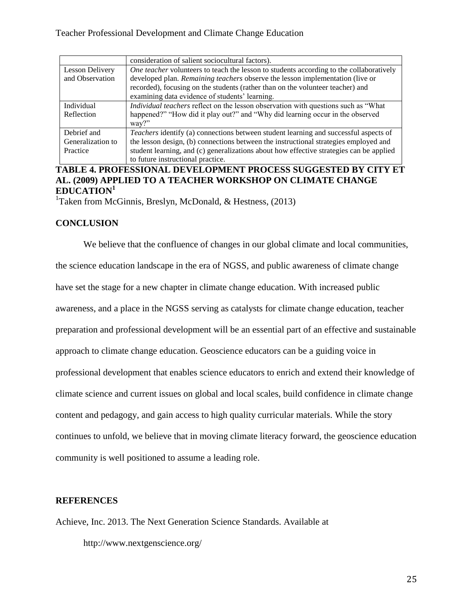|                   | consideration of salient sociocultural factors).                                            |  |
|-------------------|---------------------------------------------------------------------------------------------|--|
| Lesson Delivery   | One teacher volunteers to teach the lesson to students according to the collaboratively     |  |
| and Observation   | developed plan. Remaining teachers observe the lesson implementation (live or               |  |
|                   | recorded), focusing on the students (rather than on the volunteer teacher) and              |  |
|                   | examining data evidence of students' learning.                                              |  |
| Individual        | <i>Individual teachers</i> reflect on the lesson observation with questions such as "What"  |  |
| Reflection        | happened?" "How did it play out?" and "Why did learning occur in the observed               |  |
|                   | way?                                                                                        |  |
| Debrief and       | <i>Teachers</i> identify (a) connections between student learning and successful aspects of |  |
| Generalization to | the lesson design, (b) connections between the instructional strategies employed and        |  |
| Practice          | student learning, and (c) generalizations about how effective strategies can be applied     |  |
|                   | to future instructional practice.                                                           |  |

# **TABLE 4. PROFESSIONAL DEVELOPMENT PROCESS SUGGESTED BY CITY ET AL. (2009) APPLIED TO A TEACHER WORKSHOP ON CLIMATE CHANGE EDUCATION<sup>1</sup>**

<sup>1</sup>Taken from McGinnis, Breslyn, McDonald, & Hestness, (2013)

### **CONCLUSION**

We believe that the confluence of changes in our global climate and local communities, the science education landscape in the era of NGSS, and public awareness of climate change have set the stage for a new chapter in climate change education. With increased public awareness, and a place in the NGSS serving as catalysts for climate change education, teacher preparation and professional development will be an essential part of an effective and sustainable approach to climate change education. Geoscience educators can be a guiding voice in professional development that enables science educators to enrich and extend their knowledge of climate science and current issues on global and local scales, build confidence in climate change content and pedagogy, and gain access to high quality curricular materials. While the story continues to unfold, we believe that in moving climate literacy forward, the geoscience education community is well positioned to assume a leading role.

### **REFERENCES**

Achieve, Inc. 2013. The Next Generation Science Standards. Available at

http://www.nextgenscience.org/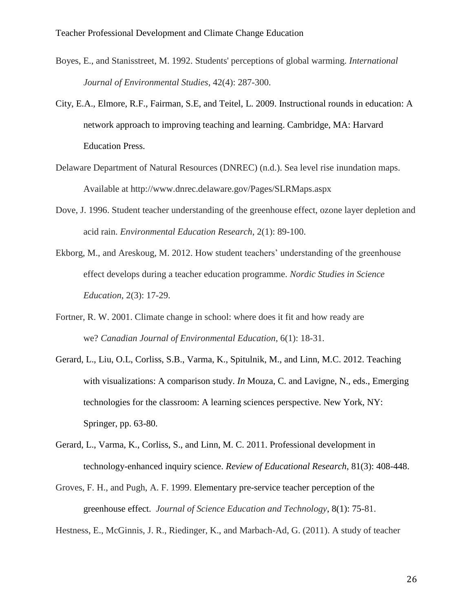- Boyes, E., and Stanisstreet, M. 1992. Students' perceptions of global warming. *International Journal of Environmental Studies*, 42(4): 287-300.
- City, E.A., Elmore, R.F., Fairman, S.E, and Teitel, L. 2009. Instructional rounds in education: A network approach to improving teaching and learning. Cambridge, MA: Harvard Education Press.
- Delaware Department of Natural Resources (DNREC) (n.d.). Sea level rise inundation maps. Available at http://www.dnrec.delaware.gov/Pages/SLRMaps.aspx
- Dove, J. 1996. Student teacher understanding of the greenhouse effect, ozone layer depletion and acid rain. *Environmental Education Research*, 2(1): 89-100.
- Ekborg, M., and Areskoug, M. 2012. How student teachers' understanding of the greenhouse effect develops during a teacher education programme. *Nordic Studies in Science Education*, 2(3): 17-29.
- Fortner, R. W. 2001. Climate change in school: where does it fit and how ready are we? *Canadian Journal of Environmental Education*, 6(1): 18-31.
- Gerard, L., Liu, O.L, Corliss, S.B., Varma, K., Spitulnik, M., and Linn, M.C. 2012. Teaching with visualizations: A comparison study. *In* Mouza, C. and Lavigne, N., eds., Emerging technologies for the classroom: A learning sciences perspective. New York, NY: Springer, pp. 63-80.
- Gerard, L., Varma, K., Corliss, S., and Linn, M. C. 2011. Professional development in technology-enhanced inquiry science. *Review of Educational Research*, 81(3): 408-448.
- Groves, F. H., and Pugh, A. F. 1999. Elementary pre-service teacher perception of the greenhouse effect.*Journal of Science Education and Technology*, 8(1): 75-81.

Hestness, E., McGinnis, J. R., Riedinger, K., and Marbach-Ad, G. (2011). A study of teacher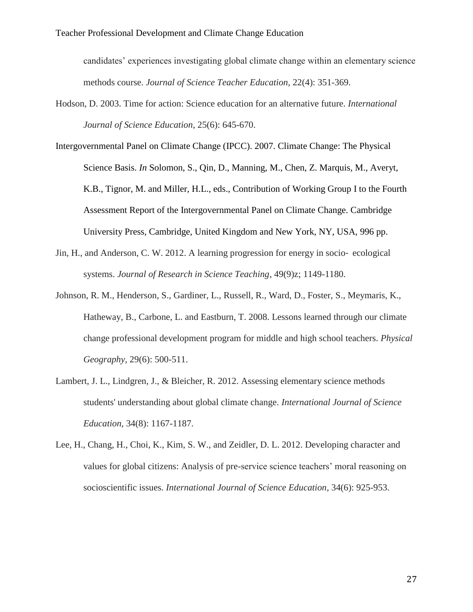candidates' experiences investigating global climate change within an elementary science methods course. *Journal of Science Teacher Education*, 22(4): 351-369.

- Hodson, D. 2003. Time for action: Science education for an alternative future. *International Journal of Science Education*, 25(6): 645-670.
- Intergovernmental Panel on Climate Change (IPCC). 2007. Climate Change: The Physical Science Basis. *In* Solomon, S., Qin, D., Manning, M., Chen, Z. Marquis, M., Averyt, K.B., Tignor, M. and Miller, H.L., eds., Contribution of Working Group I to the Fourth Assessment Report of the Intergovernmental Panel on Climate Change. Cambridge University Press, Cambridge, United Kingdom and New York, NY, USA, 996 pp.
- Jin, H., and Anderson, C. W. 2012. A learning progression for energy in socio‐ ecological systems. *Journal of Research in Science Teaching*, 49(9)z; 1149-1180.
- Johnson, R. M., Henderson, S., Gardiner, L., Russell, R., Ward, D., Foster, S., Meymaris, K., Hatheway, B., Carbone, L. and Eastburn, T. 2008. Lessons learned through our climate change professional development program for middle and high school teachers. *Physical Geography*, 29(6): 500-511.
- Lambert, J. L., Lindgren, J., & Bleicher, R. 2012. Assessing elementary science methods students' understanding about global climate change. *International Journal of Science Education*, 34(8): 1167-1187.
- Lee, H., Chang, H., Choi, K., Kim, S. W., and Zeidler, D. L. 2012. Developing character and values for global citizens: Analysis of pre-service science teachers' moral reasoning on socioscientific issues. *International Journal of Science Education*, 34(6): 925-953.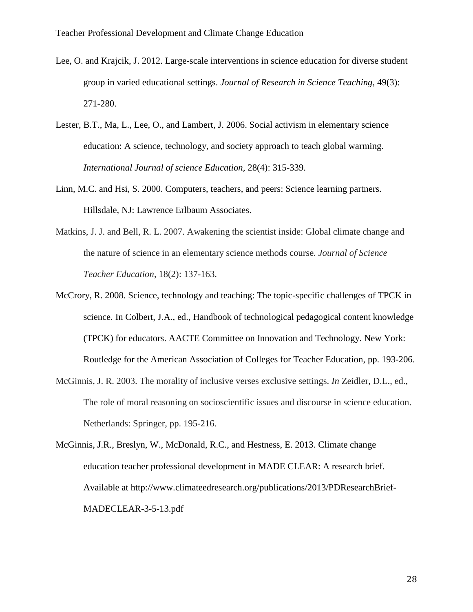- Lee, O. and Krajcik, J. 2012. Large-scale interventions in science education for diverse student group in varied educational settings. *Journal of Research in Science Teaching,* 49(3): 271-280.
- Lester, B.T., Ma, L., Lee, O., and Lambert, J. 2006. Social activism in elementary science education: A science, technology, and society approach to teach global warming. *International Journal of science Education,* 28(4): 315-339.
- Linn, M.C. and Hsi, S. 2000. Computers, teachers, and peers: Science learning partners. Hillsdale, NJ: Lawrence Erlbaum Associates.
- Matkins, J. J. and Bell, R. L. 2007. Awakening the scientist inside: Global climate change and the nature of science in an elementary science methods course. *Journal of Science Teacher Education*, 18(2): 137-163.
- McCrory, R. 2008. Science, technology and teaching: The topic-specific challenges of TPCK in science. In Colbert, J.A., ed., Handbook of technological pedagogical content knowledge (TPCK) for educators. AACTE Committee on Innovation and Technology. New York: Routledge for the American Association of Colleges for Teacher Education, pp. 193-206.
- McGinnis, J. R. 2003. The morality of inclusive verses exclusive settings. *In* Zeidler, D.L., ed., The role of moral reasoning on socioscientific issues and discourse in science education. Netherlands: Springer, pp. 195-216.
- McGinnis, J.R., Breslyn, W., McDonald, R.C., and Hestness, E. 2013. Climate change education teacher professional development in MADE CLEAR: A research brief. Available at http://www.climateedresearch.org/publications/2013/PDResearchBrief-MADECLEAR-3-5-13.pdf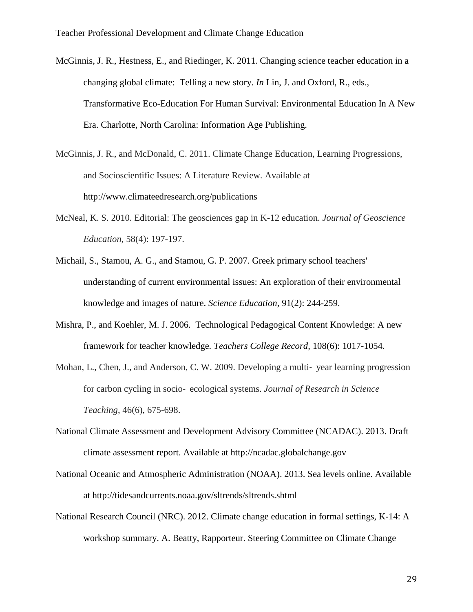- McGinnis, J. R., Hestness, E., and Riedinger, K. 2011. Changing science teacher education in a changing global climate: Telling a new story. *In* Lin, J. and Oxford, R., eds., Transformative Eco-Education For Human Survival: Environmental Education In A New Era. Charlotte, North Carolina: Information Age Publishing.
- McGinnis, J. R., and McDonald, C. 2011. Climate Change Education, Learning Progressions, and Socioscientific Issues: A Literature Review. Available at http://www.climateedresearch.org/publications
- McNeal, K. S. 2010. Editorial: The geosciences gap in K-12 education. *Journal of Geoscience Education,* 58(4): 197-197.
- Michail, S., Stamou, A. G., and Stamou, G. P. 2007. Greek primary school teachers' understanding of current environmental issues: An exploration of their environmental knowledge and images of nature. *Science Education*, 91(2): 244-259.
- Mishra, P., and Koehler, M. J. 2006. Technological Pedagogical Content Knowledge: A new framework for teacher knowledge*. Teachers College Record,* 108(6): 1017-1054.
- Mohan, L., Chen, J., and Anderson, C. W. 2009. Developing a multi-year learning progression for carbon cycling in socio‐ ecological systems. *Journal of Research in Science Teaching*, 46(6), 675-698.
- National Climate Assessment and Development Advisory Committee (NCADAC). 2013. Draft climate assessment report. Available at http://ncadac.globalchange.gov
- National Oceanic and Atmospheric Administration (NOAA). 2013. Sea levels online. Available at http://tidesandcurrents.noaa.gov/sltrends/sltrends.shtml
- National Research Council (NRC). 2012. Climate change education in formal settings, K-14: A workshop summary. A. Beatty, Rapporteur. Steering Committee on Climate Change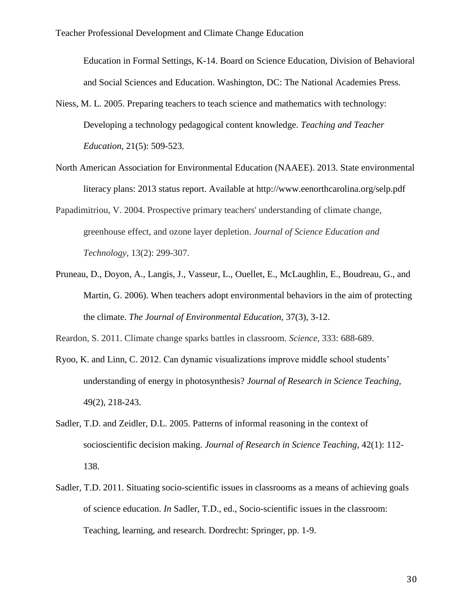Education in Formal Settings, K-14. Board on Science Education, Division of Behavioral and Social Sciences and Education. Washington, DC: The National Academies Press.

- Niess, M. L. 2005. Preparing teachers to teach science and mathematics with technology: Developing a technology pedagogical content knowledge. *Teaching and Teacher Education,* 21(5): 509-523.
- North American Association for Environmental Education (NAAEE). 2013. State environmental literacy plans: 2013 status report. Available at http://www.eenorthcarolina.org/selp.pdf
- Papadimitriou, V. 2004. Prospective primary teachers' understanding of climate change, greenhouse effect, and ozone layer depletion. *Journal of Science Education and Technology*, 13(2): 299-307.
- Pruneau, D., Doyon, A., Langis, J., Vasseur, L., Ouellet, E., McLaughlin, E., Boudreau, G., and Martin, G. 2006). When teachers adopt environmental behaviors in the aim of protecting the climate. *The Journal of Environmental Education,* 37(3), 3-12.

Reardon, S. 2011. Climate change sparks battles in classroom. *Science*, 333: 688-689.

- Ryoo, K. and Linn, C. 2012. Can dynamic visualizations improve middle school students' understanding of energy in photosynthesis? *Journal of Research in Science Teaching,*  49(2), 218-243.
- Sadler, T.D. and Zeidler, D.L. 2005. Patterns of informal reasoning in the context of socioscientific decision making. *Journal of Research in Science Teaching,* 42(1): 112- 138.
- Sadler, T.D. 2011. Situating socio-scientific issues in classrooms as a means of achieving goals of science education. *In* Sadler, T.D., ed., Socio-scientific issues in the classroom: Teaching, learning, and research. Dordrecht: Springer, pp. 1-9.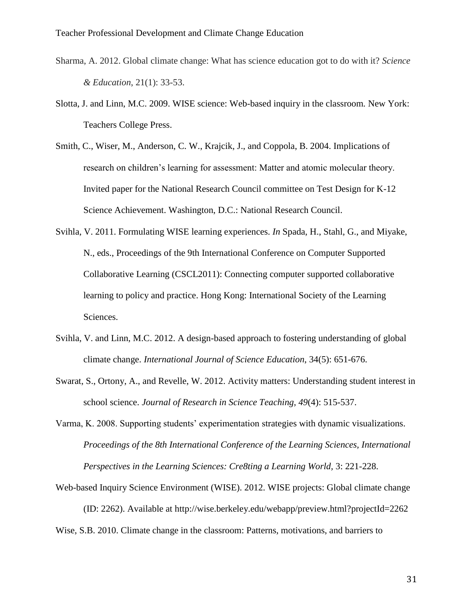- Sharma, A. 2012. Global climate change: What has science education got to do with it? *Science & Education*, 21(1): 33-53.
- Slotta, J. and Linn, M.C. 2009. WISE science: Web-based inquiry in the classroom*.* New York: Teachers College Press.
- Smith, C., Wiser, M., Anderson, C. W., Krajcik, J., and Coppola, B. 2004. Implications of research on children's learning for assessment: Matter and atomic molecular theory. Invited paper for the National Research Council committee on Test Design for K-12 Science Achievement. Washington, D.C.: National Research Council.
- Svihla, V. 2011. Formulating WISE learning experiences. *In* Spada, H., Stahl, G., and Miyake, N., eds., Proceedings of the 9th International Conference on Computer Supported Collaborative Learning (CSCL2011): Connecting computer supported collaborative learning to policy and practice. Hong Kong: International Society of the Learning Sciences.
- Svihla, V. and Linn, M.C. 2012. A design-based approach to fostering understanding of global climate change. *International Journal of Science Education*, 34(5): 651-676.
- Swarat, S., Ortony, A., and Revelle, W. 2012. Activity matters: Understanding student interest in school science. *Journal of Research in Science Teaching, 49*(4): 515-537.
- Varma, K. 2008. Supporting students' experimentation strategies with dynamic visualizations. *Proceedings of the 8th International Conference of the Learning Sciences, International Perspectives in the Learning Sciences: Cre8ting a Learning World, 3: 221-228.*
- Web-based Inquiry Science Environment (WISE). 2012. WISE projects: Global climate change (ID: 2262). Available at http://wise.berkeley.edu/webapp/preview.html?projectId=2262

Wise, S.B. 2010. Climate change in the classroom: Patterns, motivations, and barriers to